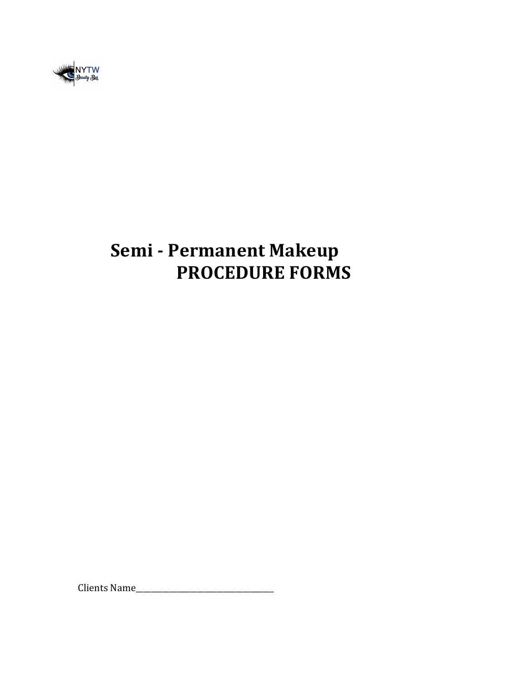

# **Semi - Permanent Makeup PROCEDURE FORMS**

Clients Name\_\_\_\_\_\_\_\_\_\_\_\_\_\_\_\_\_\_\_\_\_\_\_\_\_\_\_\_\_\_\_\_\_\_\_\_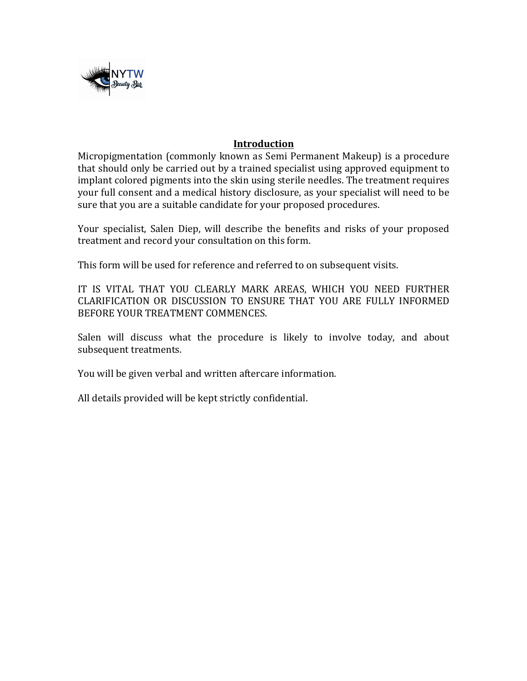

#### **Introduction**

Micropigmentation (commonly known as Semi Permanent Makeup) is a procedure that should only be carried out by a trained specialist using approved equipment to implant colored pigments into the skin using sterile needles. The treatment requires your full consent and a medical history disclosure, as your specialist will need to be sure that you are a suitable candidate for your proposed procedures.

Your specialist, Salen Diep, will describe the benefits and risks of your proposed treatment and record your consultation on this form.

This form will be used for reference and referred to on subsequent visits.

IT IS VITAL THAT YOU CLEARLY MARK AREAS, WHICH YOU NEED FURTHER CLARIFICATION OR DISCUSSION TO ENSURE THAT YOU ARE FULLY INFORMED BEFORE YOUR TREATMENT COMMENCES.

Salen will discuss what the procedure is likely to involve today, and about subsequent treatments.

You will be given verbal and written aftercare information.

All details provided will be kept strictly confidential.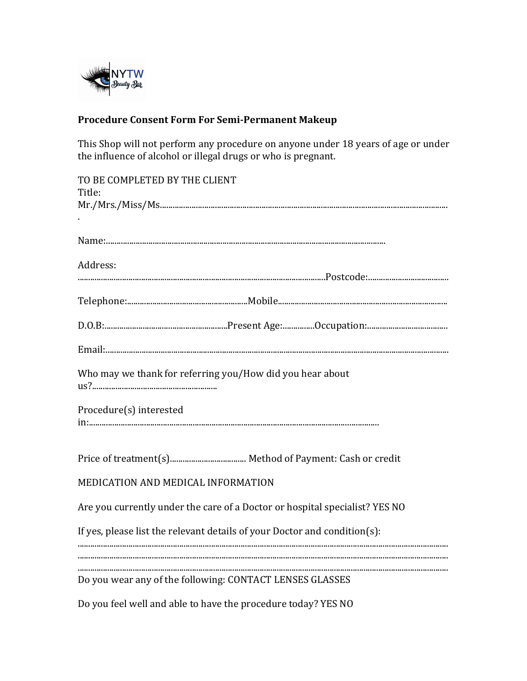

# Procedure Consent Form For Semi-Permanent Makeup

This Shop will not perform any procedure on anyone under 18 years of age or under the influence of alcohol or illegal drugs or who is pregnant.

| TO BE COMPLETED BY THE CLIENT<br>Title:                                     |
|-----------------------------------------------------------------------------|
|                                                                             |
|                                                                             |
|                                                                             |
| Address:                                                                    |
|                                                                             |
|                                                                             |
|                                                                             |
|                                                                             |
| Who may we thank for referring you/How did you hear about                   |
| Procedure(s) interested                                                     |
|                                                                             |
| MEDICATION AND MEDICAL INFORMATION                                          |
| Are you currently under the care of a Doctor or hospital specialist? YES NO |
| If yes, please list the relevant details of your Doctor and condition(s):   |
| Do you wear any of the following: CONTACT LENSES GLASSES                    |
| Do you feel well and able to have the procedure today? YES NO               |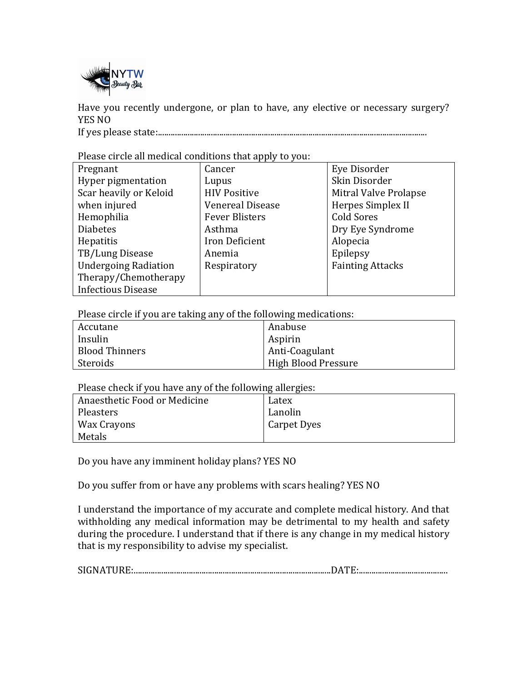

Have you recently undergone, or plan to have, any elective or necessary surgery? YES NO

If yes please state:...............................................................................................................................

Please circle all medical conditions that apply to you:

|                             | $\mathbf{w} \sim \mathbf{w} \cdot \mathbf{y}$ |                         |  |  |  |
|-----------------------------|-----------------------------------------------|-------------------------|--|--|--|
| Pregnant                    | Cancer                                        | Eye Disorder            |  |  |  |
| Hyper pigmentation          | Lupus                                         | Skin Disorder           |  |  |  |
| Scar heavily or Keloid      | <b>HIV Positive</b>                           | Mitral Valve Prolapse   |  |  |  |
| when injured                | <b>Venereal Disease</b>                       | Herpes Simplex II       |  |  |  |
| Hemophilia                  | <b>Fever Blisters</b>                         | <b>Cold Sores</b>       |  |  |  |
| <b>Diabetes</b>             | Asthma                                        | Dry Eye Syndrome        |  |  |  |
| <b>Hepatitis</b>            | Iron Deficient                                | Alopecia                |  |  |  |
| TB/Lung Disease             | Anemia                                        | Epilepsy                |  |  |  |
| <b>Undergoing Radiation</b> | Respiratory                                   | <b>Fainting Attacks</b> |  |  |  |
| Therapy/Chemotherapy        |                                               |                         |  |  |  |
| <b>Infectious Disease</b>   |                                               |                         |  |  |  |

Please circle if you are taking any of the following medications:

| Accutane              | Anabuse             |
|-----------------------|---------------------|
| Insulin               | Aspirin             |
| <b>Blood Thinners</b> | Anti-Coagulant      |
| Steroids              | High Blood Pressure |

Please check if you have any of the following allergies:

| Anaesthetic Food or Medicine | Latex       |
|------------------------------|-------------|
| Pleasters                    | Lanolin     |
| Wax Crayons                  | Carpet Dyes |
| Metals                       |             |

Do you have any imminent holiday plans? YES NO

Do you suffer from or have any problems with scars healing? YES NO

I understand the importance of my accurate and complete medical history. And that withholding any medical information may be detrimental to my health and safety during the procedure. I understand that if there is any change in my medical history that is my responsibility to advise my specialist.

SIGNATURE:.............................................................................................DATE:..........................................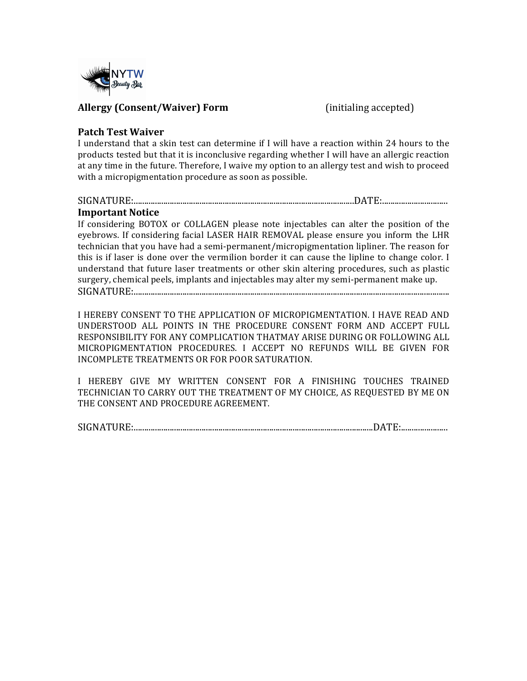

#### **Allergy (Consent/Waiver) Form** (initialing accepted)

#### **Patch Test Waiver**

I understand that a skin test can determine if I will have a reaction within 24 hours to the products tested but that it is inconclusive regarding whether I will have an allergic reaction at any time in the future. Therefore, I waive my option to an allergy test and wish to proceed with a micropigmentation procedure as soon as possible.

# SIGNATURE:........................................................................................................DATE:...............................

#### **Important Notice**

If considering BOTOX or COLLAGEN please note injectables can alter the position of the eyebrows. If considering facial LASER HAIR REMOVAL please ensure you inform the LHR technician that you have had a semi-permanent/micropigmentation lipliner. The reason for this is if laser is done over the vermilion border it can cause the lipline to change color. I understand that future laser treatments or other skin altering procedures, such as plastic surgery, chemical peels, implants and injectables may alter my semi-permanent make up. SIGNATURE:.....................................................................................................................................................

I HEREBY CONSENT TO THE APPLICATION OF MICROPIGMENTATION. I HAVE READ AND UNDERSTOOD ALL POINTS IN THE PROCEDURE CONSENT FORM AND ACCEPT FULL RESPONSIBILITY FOR ANY COMPLICATION THATMAY ARISE DURING OR FOLLOWING ALL MICROPIGMENTATION PROCEDURES. I ACCEPT NO REFUNDS WILL BE GIVEN FOR INCOMPLETE TREATMENTS OR FOR POOR SATURATION.

I HEREBY GIVE MY WRITTEN CONSENT FOR A FINISHING TOUCHES TRAINED TECHNICIAN TO CARRY OUT THE TREATMENT OF MY CHOICE, AS REQUESTED BY ME ON THE CONSENT AND PROCEDURE AGREEMENT.

SIGNATURE:.................................................................................................................DATE:......................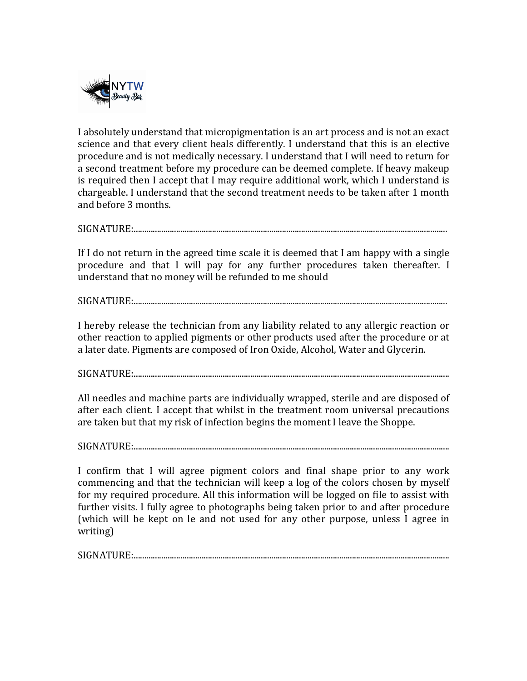

I absolutely understand that micropigmentation is an art process and is not an exact science and that every client heals differently. I understand that this is an elective procedure and is not medically necessary. I understand that I will need to return for a second treatment before my procedure can be deemed complete. If heavy makeup is required then I accept that I may require additional work, which I understand is chargeable. I understand that the second treatment needs to be taken after 1 month and before 3 months.

SIGNATURE:....................................................................................................................................................

If I do not return in the agreed time scale it is deemed that I am happy with a single procedure and that I will pay for any further procedures taken thereafter. I understand that no money will be refunded to me should

SIGNATURE:....................................................................................................................................................

I hereby release the technician from any liability related to any allergic reaction or other reaction to applied pigments or other products used after the procedure or at a later date. Pigments are composed of Iron Oxide, Alcohol, Water and Glycerin.

SIGNATURE:.....................................................................................................................................................

All needles and machine parts are individually wrapped, sterile and are disposed of after each client. I accept that whilst in the treatment room universal precautions are taken but that my risk of infection begins the moment I leave the Shoppe.

SIGNATURE:.....................................................................................................................................................

I confirm that I will agree pigment colors and final shape prior to any work commencing and that the technician will keep a log of the colors chosen by myself for my required procedure. All this information will be logged on file to assist with further visits. I fully agree to photographs being taken prior to and after procedure (which will be kept on le and not used for any other purpose, unless I agree in writing)

SIGNATURE:.....................................................................................................................................................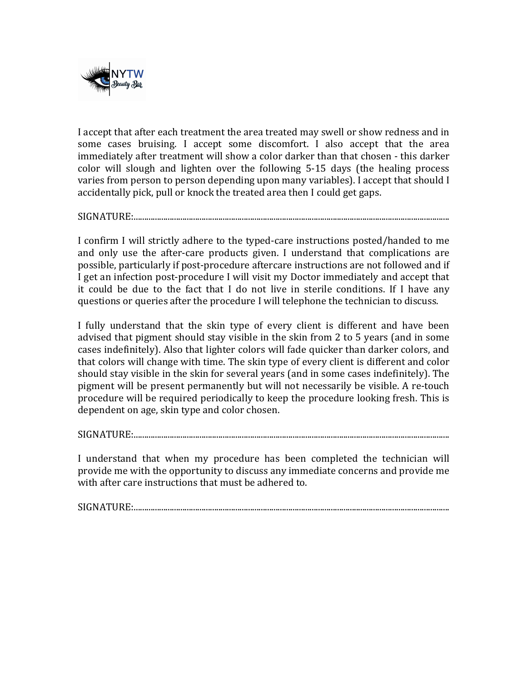

I accept that after each treatment the area treated may swell or show redness and in some cases bruising. I accept some discomfort. I also accept that the area immediately after treatment will show a color darker than that chosen - this darker color will slough and lighten over the following 5-15 days (the healing process varies from person to person depending upon many variables). I accept that should I accidentally pick, pull or knock the treated area then I could get gaps.

SIGNATURE:.....................................................................................................................................................

I confirm I will strictly adhere to the typed-care instructions posted/handed to me and only use the after-care products given. I understand that complications are possible, particularly if post-procedure aftercare instructions are not followed and if I get an infection post-procedure I will visit my Doctor immediately and accept that it could be due to the fact that I do not live in sterile conditions. If I have any questions or queries after the procedure I will telephone the technician to discuss.

I fully understand that the skin type of every client is different and have been advised that pigment should stay visible in the skin from 2 to 5 years (and in some cases indefinitely). Also that lighter colors will fade quicker than darker colors, and that colors will change with time. The skin type of every client is different and color should stay visible in the skin for several years (and in some cases indefinitely). The pigment will be present permanently but will not necessarily be visible. A re-touch procedure will be required periodically to keep the procedure looking fresh. This is dependent on age, skin type and color chosen.

SIGNATURE:.....................................................................................................................................................

I understand that when my procedure has been completed the technician will provide me with the opportunity to discuss any immediate concerns and provide me with after care instructions that must be adhered to.

SIGNATURE:.....................................................................................................................................................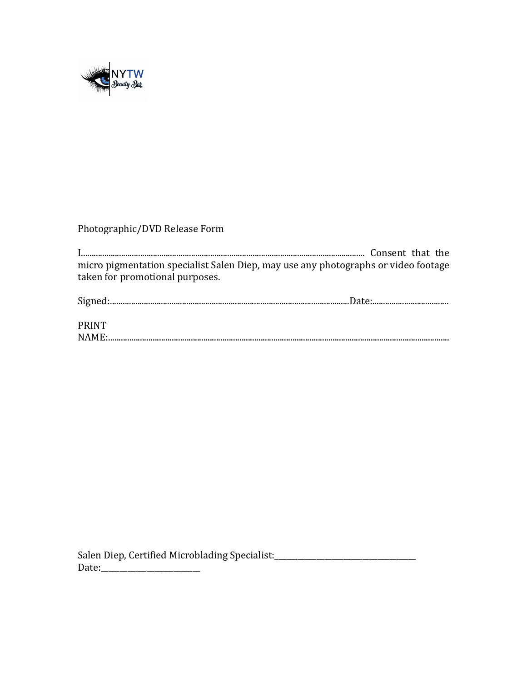

## Photographic/DVD Release Form

micro pigmentation specialist Salen Diep, may use any photographs or video footage taken for promotional purposes.

| <b>PRINT</b>                                                                                                                                                                                                                                                                                                                                                                                                                                       |  |
|----------------------------------------------------------------------------------------------------------------------------------------------------------------------------------------------------------------------------------------------------------------------------------------------------------------------------------------------------------------------------------------------------------------------------------------------------|--|
| $\textbf{NAME:}\xspace_{\textbf{1}}\xspace_{\textbf{2}}\xspace_{\textbf{3}}\xspace_{\textbf{4}}\xspace_{\textbf{5}}\xspace_{\textbf{6}}\xspace_{\textbf{7}}\xspace_{\textbf{8}}\xspace_{\textbf{9}}\xspace_{\textbf{10}}\xspace_{\textbf{11}}\xspace_{\textbf{12}}\xspace_{\textbf{13}}\xspace_{\textbf{14}}\xspace_{\textbf{15}}\xspace_{\textbf{16}}\xspace_{\textbf{18}}\xspace_{\textbf{19}}\xspace_{\textbf{19}}\xspace_{\textbf{10}}\xspace$ |  |

Salen Diep, Certified Microblading Specialist:\_\_\_\_\_\_\_\_\_\_\_\_\_\_\_\_\_\_\_\_\_\_\_\_\_\_\_\_\_\_\_\_\_\_